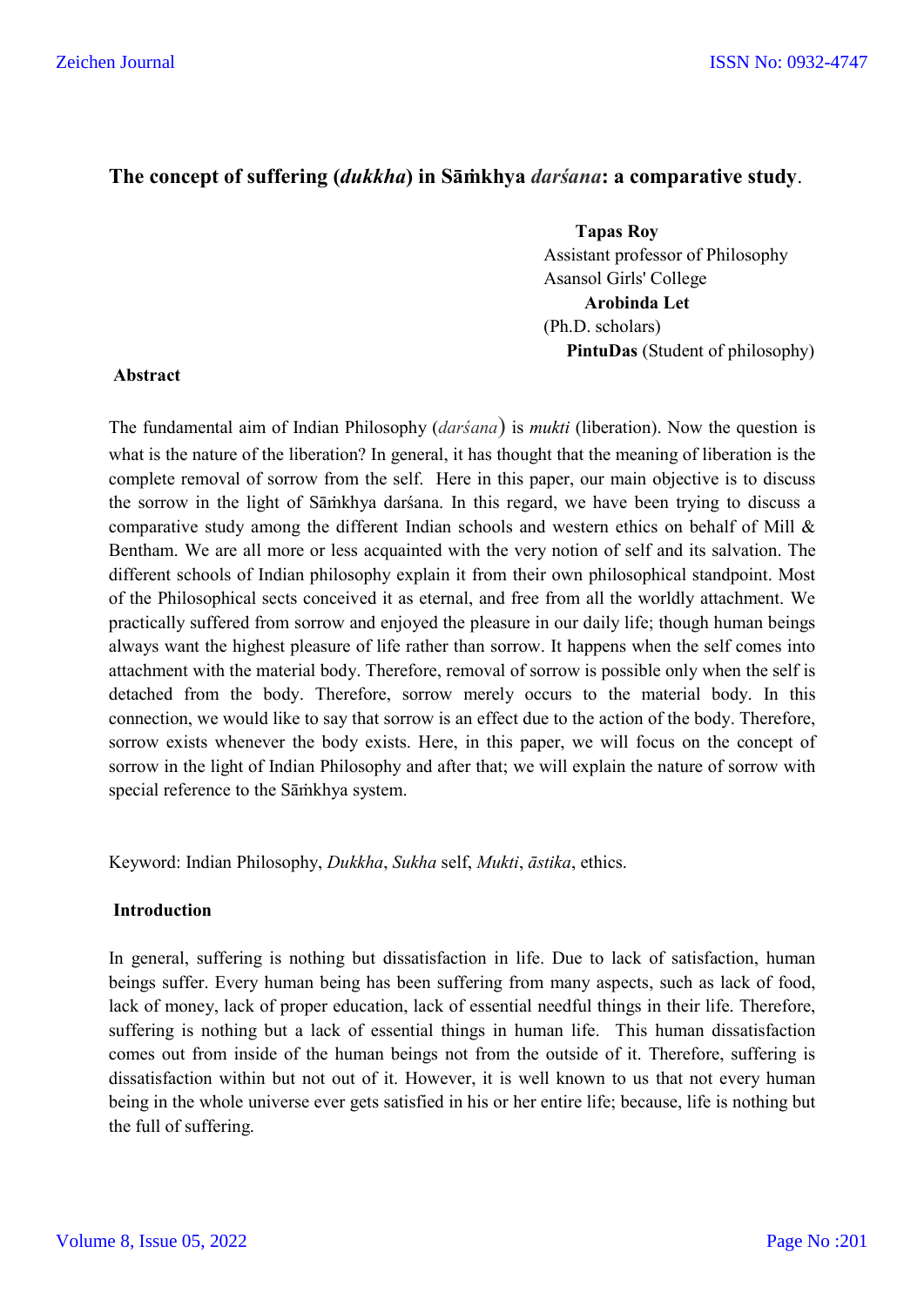# **The concept of suffering (***dukkha***) in Sāṁkhya** *darśana***: a comparative study**.

 **Tapas Roy**  Assistant professor of Philosophy Asansol Girls' College **Arobinda Let**  (Ph.D. scholars) **PintuDas** (Student of philosophy)

### **Abstract**

The fundamental aim of Indian Philosophy (*darśana*) is *mukti* (liberation). Now the question is what is the nature of the liberation? In general, it has thought that the meaning of liberation is the complete removal of sorrow from the self. Here in this paper, our main objective is to discuss the sorrow in the light of Sāṁkhya darśana. In this regard, we have been trying to discuss a comparative study among the different Indian schools and western ethics on behalf of Mill & Bentham. We are all more or less acquainted with the very notion of self and its salvation. The different schools of Indian philosophy explain it from their own philosophical standpoint. Most of the Philosophical sects conceived it as eternal, and free from all the worldly attachment. We practically suffered from sorrow and enjoyed the pleasure in our daily life; though human beings always want the highest pleasure of life rather than sorrow. It happens when the self comes into attachment with the material body. Therefore, removal of sorrow is possible only when the self is detached from the body. Therefore, sorrow merely occurs to the material body. In this connection, we would like to say that sorrow is an effect due to the action of the body. Therefore, sorrow exists whenever the body exists. Here, in this paper, we will focus on the concept of sorrow in the light of Indian Philosophy and after that; we will explain the nature of sorrow with special reference to the Sāṁkhya system.

Keyword: Indian Philosophy, *Dukkha*, *Sukha* self, *Mukti*, *āstika*, ethics.

## **Introduction**

In general, suffering is nothing but dissatisfaction in life. Due to lack of satisfaction, human beings suffer. Every human being has been suffering from many aspects, such as lack of food, lack of money, lack of proper education, lack of essential needful things in their life. Therefore, suffering is nothing but a lack of essential things in human life. This human dissatisfaction comes out from inside of the human beings not from the outside of it. Therefore, suffering is dissatisfaction within but not out of it. However, it is well known to us that not every human being in the whole universe ever gets satisfied in his or her entire life; because, life is nothing but the full of suffering.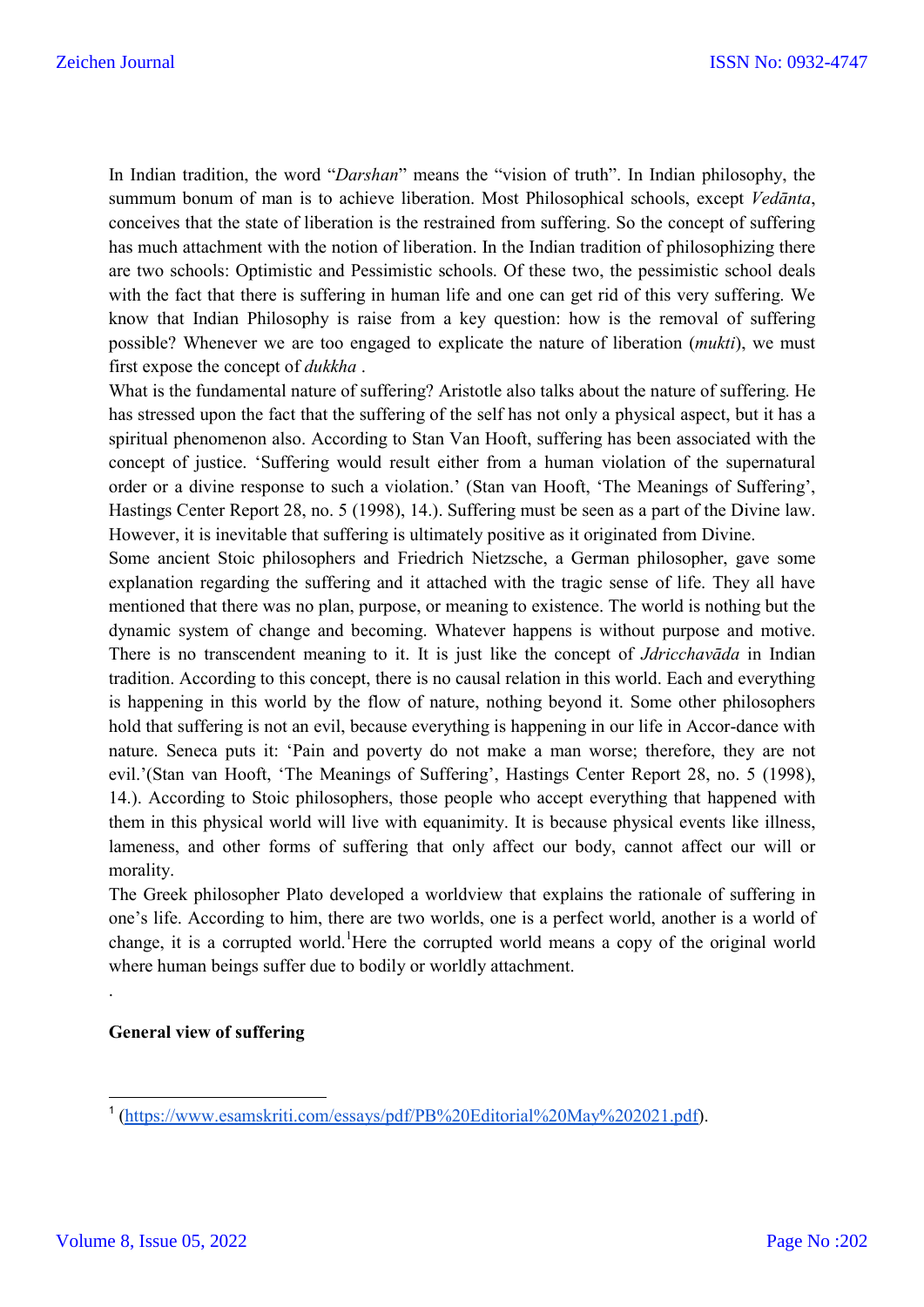In Indian tradition, the word "*Darshan*" means the "vision of truth". In Indian philosophy, the summum bonum of man is to achieve liberation. Most Philosophical schools, except *Vedānta*, conceives that the state of liberation is the restrained from suffering. So the concept of suffering has much attachment with the notion of liberation. In the Indian tradition of philosophizing there are two schools: Optimistic and Pessimistic schools. Of these two, the pessimistic school deals with the fact that there is suffering in human life and one can get rid of this very suffering. We know that Indian Philosophy is raise from a key question: how is the removal of suffering possible? Whenever we are too engaged to explicate the nature of liberation (*mukti*), we must first expose the concept of *dukkha* .

What is the fundamental nature of suffering? Aristotle also talks about the nature of suffering. He has stressed upon the fact that the suffering of the self has not only a physical aspect, but it has a spiritual phenomenon also. According to Stan Van Hooft, suffering has been associated with the concept of justice. 'Suffering would result either from a human violation of the supernatural order or a divine response to such a violation.' (Stan van Hooft, 'The Meanings of Suffering', Hastings Center Report 28, no. 5 (1998), 14.). Suffering must be seen as a part of the Divine law. However, it is inevitable that suffering is ultimately positive as it originated from Divine.

Some ancient Stoic philosophers and Friedrich Nietzsche, a German philosopher, gave some explanation regarding the suffering and it attached with the tragic sense of life. They all have mentioned that there was no plan, purpose, or meaning to existence. The world is nothing but the dynamic system of change and becoming. Whatever happens is without purpose and motive. There is no transcendent meaning to it. It is just like the concept of *Jdricchavāda* in Indian tradition. According to this concept, there is no causal relation in this world. Each and everything is happening in this world by the flow of nature, nothing beyond it. Some other philosophers hold that suffering is not an evil, because everything is happening in our life in Accor-dance with nature. Seneca puts it: 'Pain and poverty do not make a man worse; therefore, they are not evil.'(Stan van Hooft, 'The Meanings of Suffering', Hastings Center Report 28, no. 5 (1998), 14.). According to Stoic philosophers, those people who accept everything that happened with them in this physical world will live with equanimity. It is because physical events like illness, lameness, and other forms of suffering that only affect our body, cannot affect our will or morality.

The Greek philosopher Plato developed a worldview that explains the rationale of suffering in one's life. According to him, there are two worlds, one is a perfect world, another is a world of change, it is a corrupted world. Here the corrupted world means a copy of the original world where human beings suffer due to bodily or worldly attachment.

## **General view of suffering**

.

 <sup>1</sup> (https://www.esamskriti.com/essays/pdf/PB%20Editorial%20May%202021.pdf).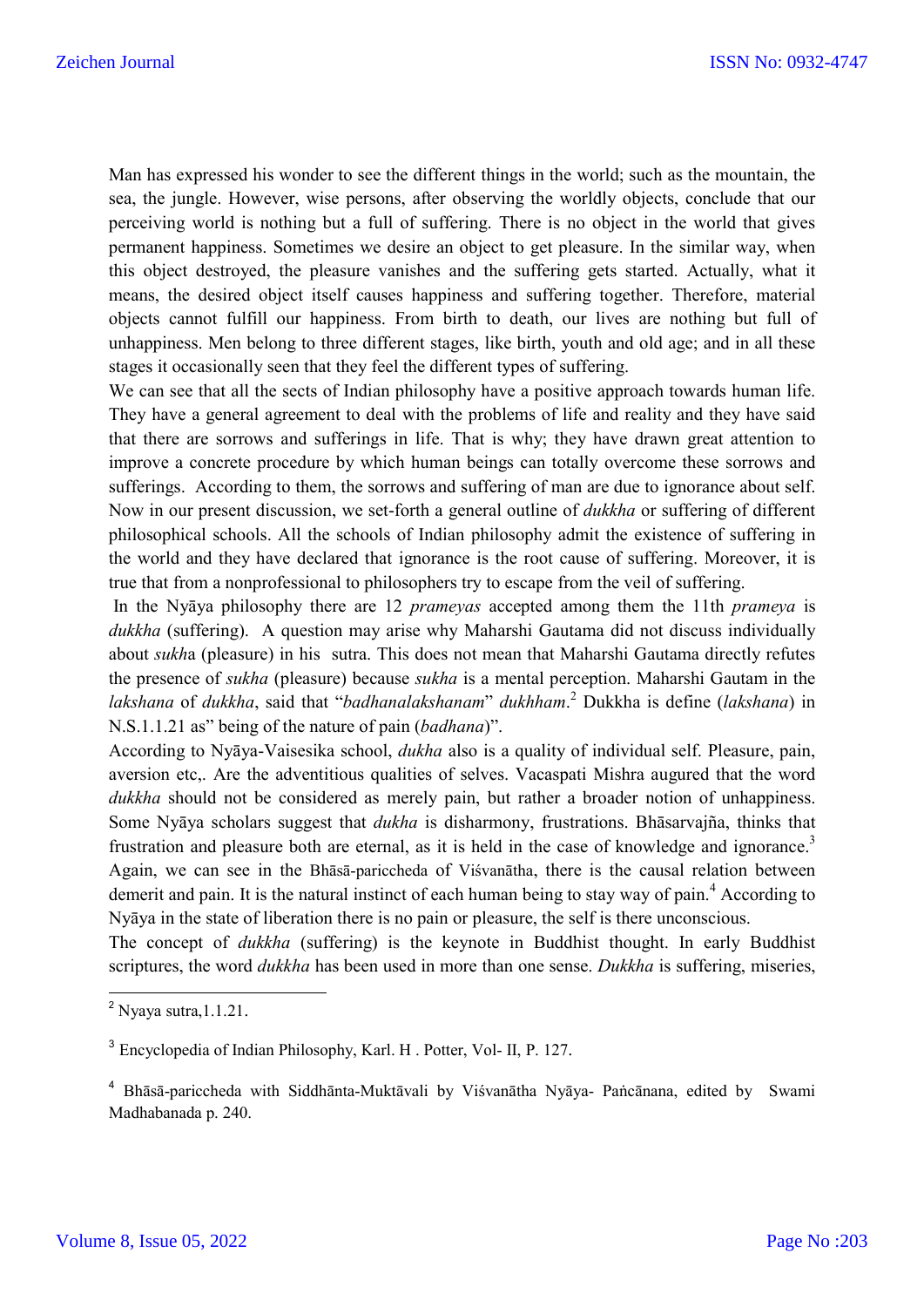Man has expressed his wonder to see the different things in the world; such as the mountain, the sea, the jungle. However, wise persons, after observing the worldly objects, conclude that our perceiving world is nothing but a full of suffering. There is no object in the world that gives permanent happiness. Sometimes we desire an object to get pleasure. In the similar way, when this object destroyed, the pleasure vanishes and the suffering gets started. Actually, what it means, the desired object itself causes happiness and suffering together. Therefore, material objects cannot fulfill our happiness. From birth to death, our lives are nothing but full of unhappiness. Men belong to three different stages, like birth, youth and old age; and in all these stages it occasionally seen that they feel the different types of suffering.

We can see that all the sects of Indian philosophy have a positive approach towards human life. They have a general agreement to deal with the problems of life and reality and they have said that there are sorrows and sufferings in life. That is why; they have drawn great attention to improve a concrete procedure by which human beings can totally overcome these sorrows and sufferings. According to them, the sorrows and suffering of man are due to ignorance about self. Now in our present discussion, we set-forth a general outline of *dukkha* or suffering of different philosophical schools. All the schools of Indian philosophy admit the existence of suffering in the world and they have declared that ignorance is the root cause of suffering. Moreover, it is true that from a nonprofessional to philosophers try to escape from the veil of suffering.

In the Nyāya philosophy there are 12 *prameyas* accepted among them the 11th *prameya* is *dukkha* (suffering). A question may arise why Maharshi Gautama did not discuss individually about *sukh*a (pleasure) in his sutra. This does not mean that Maharshi Gautama directly refutes the presence of *sukha* (pleasure) because *sukha* is a mental perception. Maharshi Gautam in the *lakshana* of *dukkha*, said that "*badhanalakshanam*" *dukhham*. <sup>2</sup> Dukkha is define (*lakshana*) in N.S.1.1.21 as" being of the nature of pain (*badhana*)".

According to Nyāya-Vaisesika school, *dukha* also is a quality of individual self. Pleasure, pain, aversion etc,. Are the adventitious qualities of selves. Vacaspati Mishra augured that the word *dukkha* should not be considered as merely pain, but rather a broader notion of unhappiness. Some Nyāya scholars suggest that *dukha* is disharmony, frustrations. Bhāsarvajña, thinks that frustration and pleasure both are eternal, as it is held in the case of knowledge and ignorance.<sup>3</sup> Again, we can see in the Bhāsā-pariccheda of Viśvanātha, there is the causal relation between demerit and pain. It is the natural instinct of each human being to stay way of pain.<sup>4</sup> According to Nyāya in the state of liberation there is no pain or pleasure, the self is there unconscious.

The concept of *dukkha* (suffering) is the keynote in Buddhist thought. In early Buddhist scriptures, the word *dukkha* has been used in more than one sense. *Dukkha* is suffering, miseries,

 $2$  Nyaya sutra, 1.1.21.

<sup>3</sup> Encyclopedia of Indian Philosophy, Karl. H . Potter, Vol- II, P. 127.

<sup>4</sup> Bhāsā-pariccheda with Siddhānta-Muktāvali by Viśvanātha Nyāya- Paṅcānana, edited by Swami Madhabanada p. 240.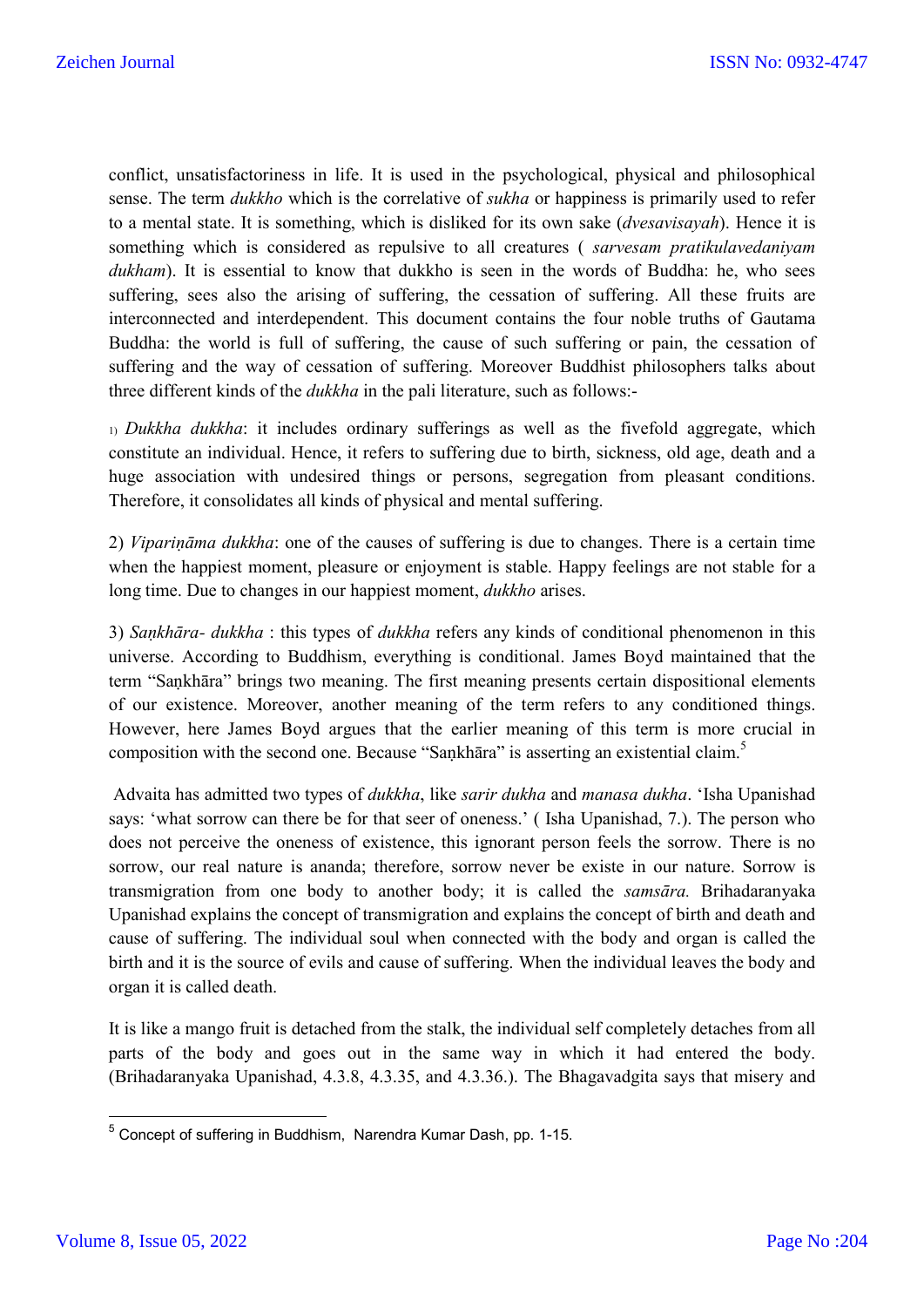conflict, unsatisfactoriness in life. It is used in the psychological, physical and philosophical sense. The term *dukkho* which is the correlative of *sukha* or happiness is primarily used to refer to a mental state. It is something, which is disliked for its own sake (*dvesavisayah*). Hence it is something which is considered as repulsive to all creatures ( *sarvesam pratikulavedaniyam dukham*). It is essential to know that dukkho is seen in the words of Buddha: he, who sees suffering, sees also the arising of suffering, the cessation of suffering. All these fruits are interconnected and interdependent. This document contains the four noble truths of Gautama Buddha: the world is full of suffering, the cause of such suffering or pain, the cessation of suffering and the way of cessation of suffering. Moreover Buddhist philosophers talks about three different kinds of the *dukkha* in the pali literature, such as follows:-

1) *Dukkha dukkha*: it includes ordinary sufferings as well as the fivefold aggregate, which constitute an individual. Hence, it refers to suffering due to birth, sickness, old age, death and a huge association with undesired things or persons, segregation from pleasant conditions. Therefore, it consolidates all kinds of physical and mental suffering.

2) *Vipariṇāma dukkha*: one of the causes of suffering is due to changes. There is a certain time when the happiest moment, pleasure or enjoyment is stable. Happy feelings are not stable for a long time. Due to changes in our happiest moment, *dukkho* arises.

3) *Saṇkhāra- dukkha* : this types of *dukkha* refers any kinds of conditional phenomenon in this universe. According to Buddhism, everything is conditional. James Boyd maintained that the term "Saṇkhāra" brings two meaning. The first meaning presents certain dispositional elements of our existence. Moreover, another meaning of the term refers to any conditioned things. However, here James Boyd argues that the earlier meaning of this term is more crucial in composition with the second one. Because "Saṇkhāra" is asserting an existential claim.

Advaita has admitted two types of *dukkha*, like *sarir dukha* and *manasa dukha*. 'Isha Upanishad says: 'what sorrow can there be for that seer of oneness.' ( Isha Upanishad, 7.). The person who does not perceive the oneness of existence, this ignorant person feels the sorrow. There is no sorrow, our real nature is ananda; therefore, sorrow never be existe in our nature. Sorrow is transmigration from one body to another body; it is called the *samsāra.* Brihadaranyaka Upanishad explains the concept of transmigration and explains the concept of birth and death and cause of suffering. The individual soul when connected with the body and organ is called the birth and it is the source of evils and cause of suffering. When the individual leaves the body and organ it is called death.

It is like a mango fruit is detached from the stalk, the individual self completely detaches from all parts of the body and goes out in the same way in which it had entered the body. (Brihadaranyaka Upanishad, 4.3.8, 4.3.35, and 4.3.36.). The Bhagavadgita says that misery and

 <sup>5</sup> Concept of suffering in Buddhism, Narendra Kumar Dash, pp. 1-15.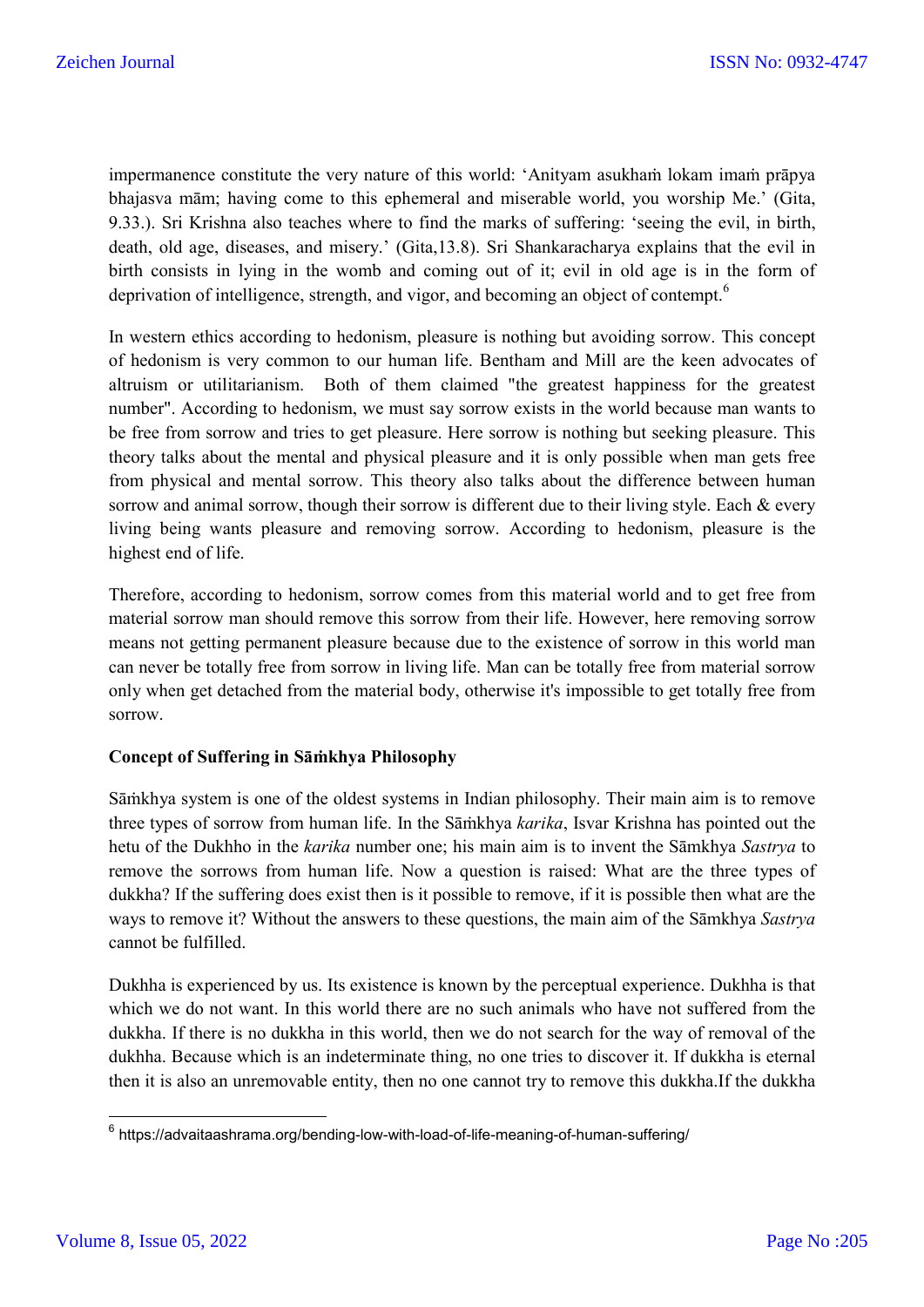impermanence constitute the very nature of this world: 'Anityam asukhaṁ lokam imaṁ prāpya bhajasva mām; having come to this ephemeral and miserable world, you worship Me.' (Gita, 9.33.). Sri Krishna also teaches where to find the marks of suffering: 'seeing the evil, in birth, death, old age, diseases, and misery.' (Gita,13.8). Sri Shankaracharya explains that the evil in birth consists in lying in the womb and coming out of it; evil in old age is in the form of deprivation of intelligence, strength, and vigor, and becoming an object of contempt.<sup>6</sup>

In western ethics according to hedonism, pleasure is nothing but avoiding sorrow. This concept of hedonism is very common to our human life. Bentham and Mill are the keen advocates of altruism or utilitarianism. Both of them claimed "the greatest happiness for the greatest number". According to hedonism, we must say sorrow exists in the world because man wants to be free from sorrow and tries to get pleasure. Here sorrow is nothing but seeking pleasure. This theory talks about the mental and physical pleasure and it is only possible when man gets free from physical and mental sorrow. This theory also talks about the difference between human sorrow and animal sorrow, though their sorrow is different due to their living style. Each & every living being wants pleasure and removing sorrow. According to hedonism, pleasure is the highest end of life.

Therefore, according to hedonism, sorrow comes from this material world and to get free from material sorrow man should remove this sorrow from their life. However, here removing sorrow means not getting permanent pleasure because due to the existence of sorrow in this world man can never be totally free from sorrow in living life. Man can be totally free from material sorrow only when get detached from the material body, otherwise it's impossible to get totally free from sorrow.

## **Concept of Suffering in Sāṁkhya Philosophy**

Sāṁkhya system is one of the oldest systems in Indian philosophy. Their main aim is to remove three types of sorrow from human life. In the Sāṁkhya *karika*, Isvar Krishna has pointed out the hetu of the Dukhho in the *karika* number one; his main aim is to invent the Sāmkhya *Sastrya* to remove the sorrows from human life. Now a question is raised: What are the three types of dukkha? If the suffering does exist then is it possible to remove, if it is possible then what are the ways to remove it? Without the answers to these questions, the main aim of the Sāmkhya *Sastrya*  cannot be fulfilled.

Dukhha is experienced by us. Its existence is known by the perceptual experience. Dukhha is that which we do not want. In this world there are no such animals who have not suffered from the dukkha. If there is no dukkha in this world, then we do not search for the way of removal of the dukhha. Because which is an indeterminate thing, no one tries to discover it. If dukkha is eternal then it is also an unremovable entity, then no one cannot try to remove this dukkha.If the dukkha

 $6$  https://advaitaashrama.org/bending-low-with-load-of-life-meaning-of-human-suffering/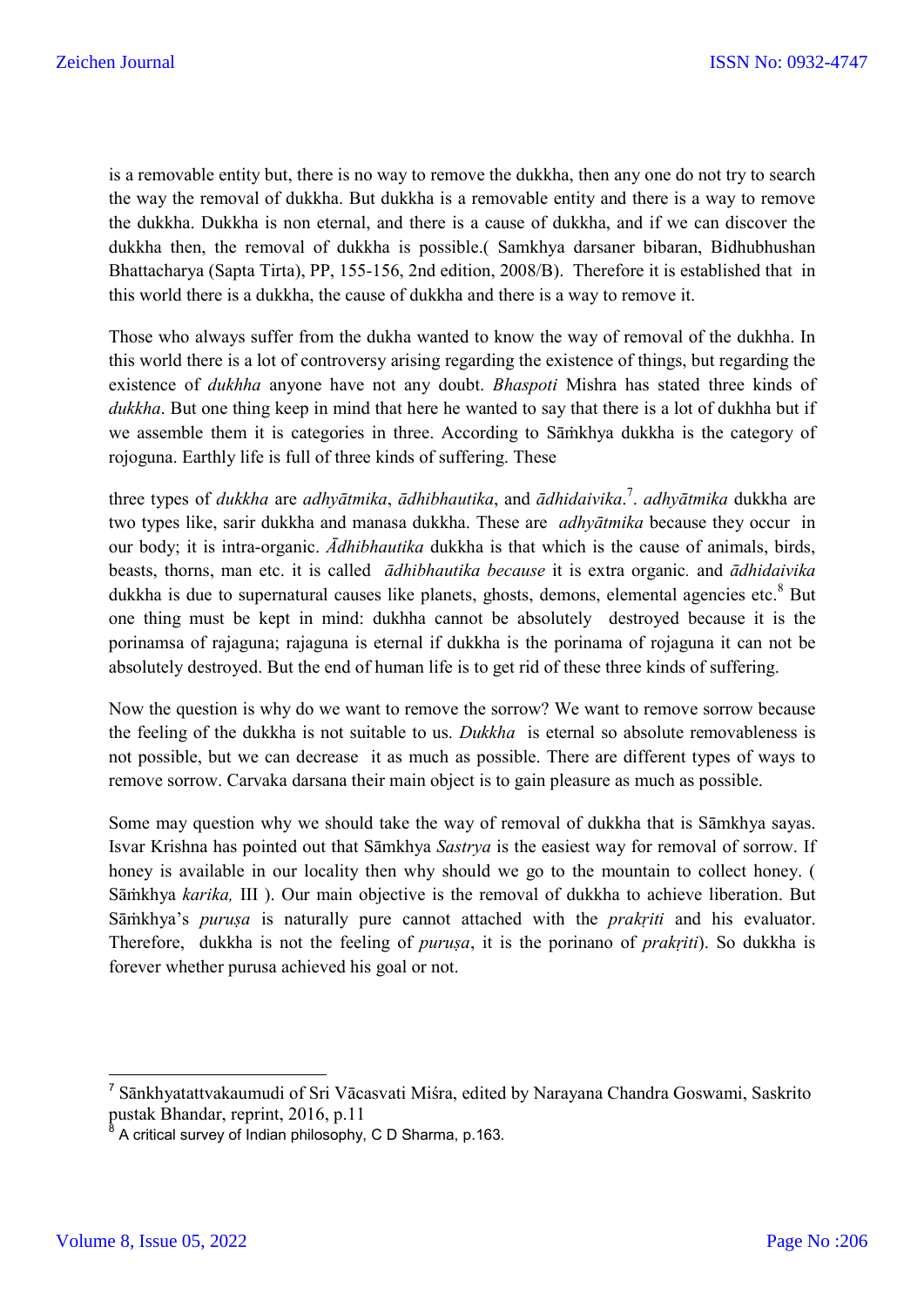is a removable entity but, there is no way to remove the dukkha, then any one do not try to search the way the removal of dukkha. But dukkha is a removable entity and there is a way to remove the dukkha. Dukkha is non eternal, and there is a cause of dukkha, and if we can discover the dukkha then, the removal of dukkha is possible.( Samkhya darsaner bibaran, Bidhubhushan Bhattacharya (Sapta Tirta), PP, 155-156, 2nd edition, 2008/B). Therefore it is established that in this world there is a dukkha, the cause of dukkha and there is a way to remove it.

Those who always suffer from the dukha wanted to know the way of removal of the dukhha. In this world there is a lot of controversy arising regarding the existence of things, but regarding the existence of *dukhha* anyone have not any doubt. *Bhaspoti* Mishra has stated three kinds of *dukkha*. But one thing keep in mind that here he wanted to say that there is a lot of dukhha but if we assemble them it is categories in three. According to Sāṁkhya dukkha is the category of rojoguna. Earthly life is full of three kinds of suffering. These

three types of *dukkha* are *adhyātmika*, *ādhibhautika*, and *ādhidaivika*. 7 . *adhyātmika* dukkha are two types like, sarir dukkha and manasa dukkha. These are *adhyātmika* because they occur in our body; it is intra-organic. *Ādhibhautika* dukkha is that which is the cause of animals, birds, beasts, thorns, man etc. it is called *ādhibhautika because* it is extra organic*.* and *ādhidaivika*  dukkha is due to supernatural causes like planets, ghosts, demons, elemental agencies etc. $8$  But one thing must be kept in mind: dukhha cannot be absolutely destroyed because it is the porinamsa of rajaguna; rajaguna is eternal if dukkha is the porinama of rojaguna it can not be absolutely destroyed. But the end of human life is to get rid of these three kinds of suffering.

Now the question is why do we want to remove the sorrow? We want to remove sorrow because the feeling of the dukkha is not suitable to us. *Dukkha* is eternal so absolute removableness is not possible, but we can decrease it as much as possible. There are different types of ways to remove sorrow. Carvaka darsana their main object is to gain pleasure as much as possible.

Some may question why we should take the way of removal of dukkha that is Sāmkhya sayas. Isvar Krishna has pointed out that Sāmkhya *Sastrya* is the easiest way for removal of sorrow. If honey is available in our locality then why should we go to the mountain to collect honey. ( Sāṁkhya *karika,* III ). Our main objective is the removal of dukkha to achieve liberation. But Sāmkhya's *purusa* is naturally pure cannot attached with the *prakriti* and his evaluator. Therefore, dukkha is not the feeling of *puruṣa*, it is the porinano of *prakṛiti*). So dukkha is forever whether purusa achieved his goal or not.

 <sup>7</sup> Sānkhyatattvakaumudi of Sri Vācasvati Miśra, edited by Narayana Chandra Goswami, Saskrito pustak Bhandar, reprint, 2016, p.11

<sup>8</sup> A critical survey of Indian philosophy, C D Sharma, p.163.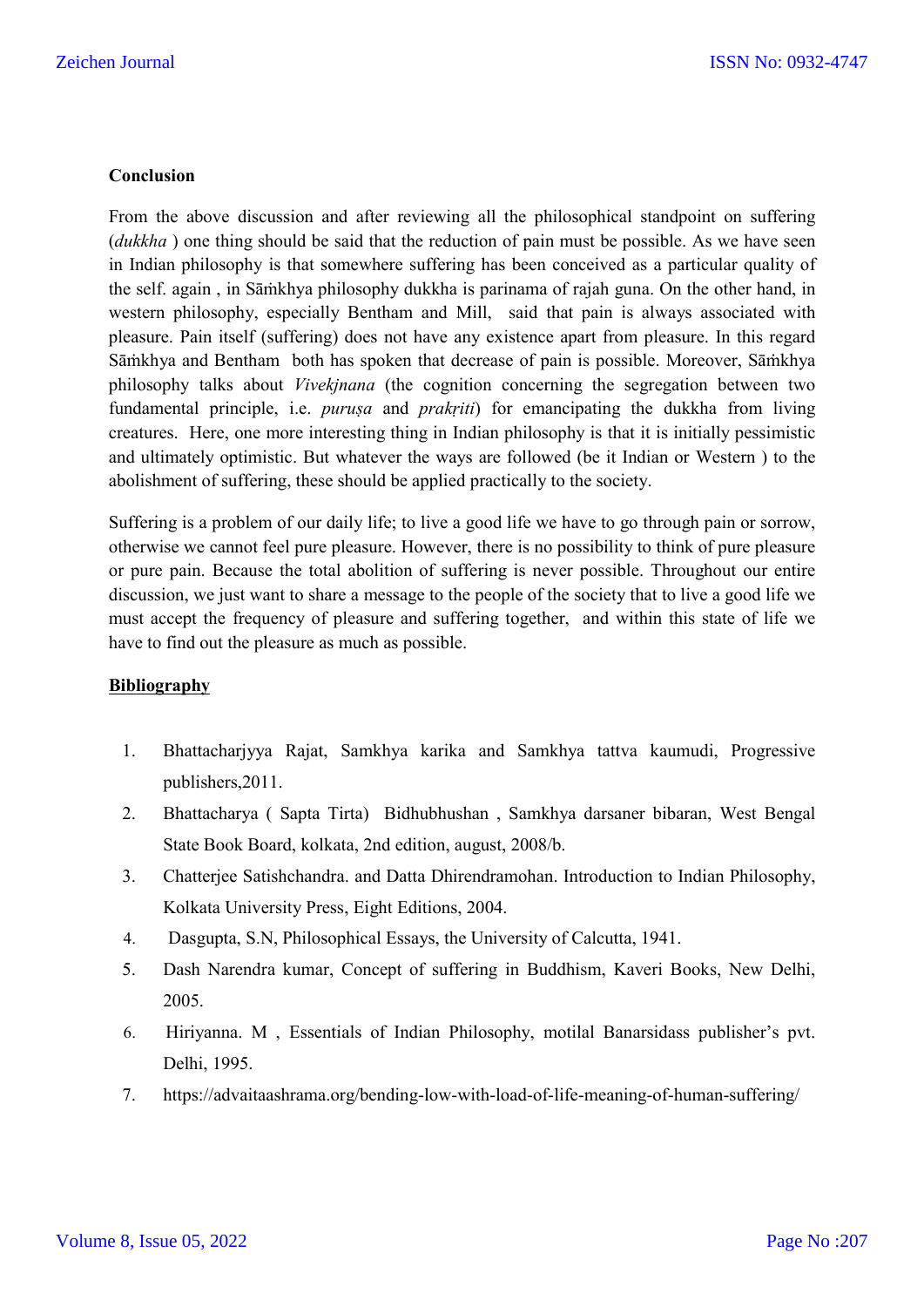## **Conclusion**

From the above discussion and after reviewing all the philosophical standpoint on suffering (*dukkha* ) one thing should be said that the reduction of pain must be possible. As we have seen in Indian philosophy is that somewhere suffering has been conceived as a particular quality of the self. again , in Sāṁkhya philosophy dukkha is parinama of rajah guna. On the other hand, in western philosophy, especially Bentham and Mill, said that pain is always associated with pleasure. Pain itself (suffering) does not have any existence apart from pleasure. In this regard Sāṁkhya and Bentham both has spoken that decrease of pain is possible. Moreover, Sāṁkhya philosophy talks about *Vivekjnana* (the cognition concerning the segregation between two fundamental principle, i.e. *purusa* and *prakriti*) for emancipating the dukkha from living creatures. Here, one more interesting thing in Indian philosophy is that it is initially pessimistic and ultimately optimistic. But whatever the ways are followed (be it Indian or Western ) to the abolishment of suffering, these should be applied practically to the society.

Suffering is a problem of our daily life; to live a good life we have to go through pain or sorrow, otherwise we cannot feel pure pleasure. However, there is no possibility to think of pure pleasure or pure pain. Because the total abolition of suffering is never possible. Throughout our entire discussion, we just want to share a message to the people of the society that to live a good life we must accept the frequency of pleasure and suffering together, and within this state of life we have to find out the pleasure as much as possible.

## **Bibliography**

- 1. Bhattacharjyya Rajat, Samkhya karika and Samkhya tattva kaumudi, Progressive publishers,2011.
- 2. Bhattacharya ( Sapta Tirta) Bidhubhushan , Samkhya darsaner bibaran, West Bengal State Book Board, kolkata, 2nd edition, august, 2008/b.
- 3. Chatterjee Satishchandra. and Datta Dhirendramohan. Introduction to Indian Philosophy, Kolkata University Press, Eight Editions, 2004.
- 4. Dasgupta, S.N, Philosophical Essays, the University of Calcutta, 1941.
- 5. Dash Narendra kumar, Concept of suffering in Buddhism, Kaveri Books, New Delhi, 2005.
- 6. Hiriyanna. M , Essentials of Indian Philosophy, motilal Banarsidass publisher's pvt. Delhi, 1995.
- 7. https://advaitaashrama.org/bending-low-with-load-of-life-meaning-of-human-suffering/